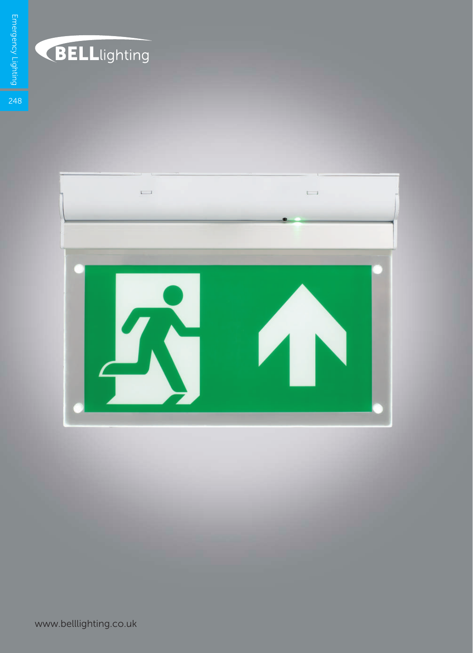

## **BELL**lighting

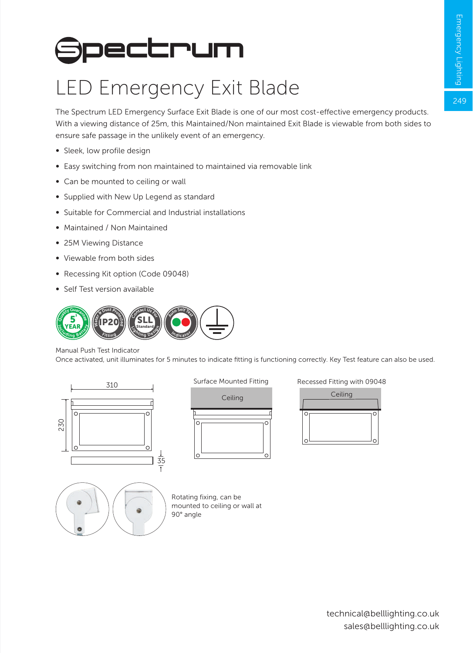249

## **Spectrum**

## LED Emergency Exit Blade

The Spectrum LED Emergency Surface Exit Blade is one of our most cost-effective emergency products. With a viewing distance of 25m, this Maintained/Non maintained Exit Blade is viewable from both sides to ensure safe passage in the unlikely event of an emergency.

- ∞ Sleek, low profile design
- ∞ Easy switching from non maintained to maintained via removable link
- Can be mounted to ceiling or wall
- Supplied with New Up Legend as standard
- ∞ Suitable for Commercial and Industrial installations
- ∞ Maintained / Non Maintained
- ∞ 25M Viewing Distance
- ∞ Viewable from both sides
- ∞ Recessing Kit option (Code 09048)
- ∞ Self Test version available



Manual Push Test Indicator

Once activated, unit illuminates for 5 minutes to indicate fitting is functioning correctly. Key Test feature can also be used.



Surface Mounted Fitting



Recessed Fitting with 09048





Rotating fixing, can be mounted to ceiling or wall at 90° angle

> technical@belllighting.co.uk sales@belllighting.co.uk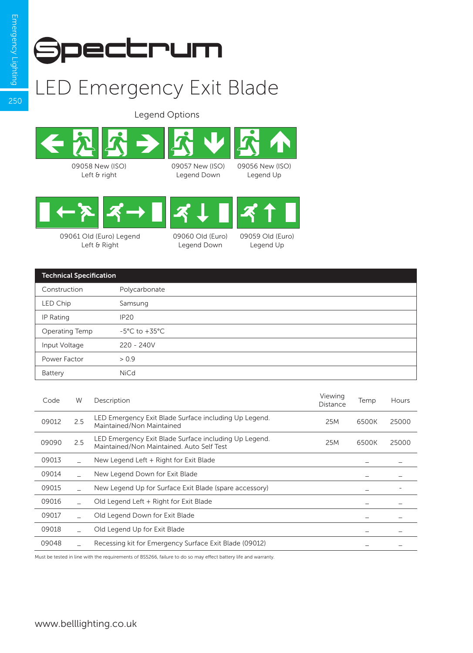

## LED Emergency Exit Blade

Legend Options





09061 Old (Euro) Legend Left & Right

| 09060 Old (Euro) |
|------------------|
| Legend Down      |

09059 Old (Euro) Legend Up

| <b>Technical Specification</b> |                                   |  |  |  |
|--------------------------------|-----------------------------------|--|--|--|
| Construction                   | Polycarbonate                     |  |  |  |
| LED Chip                       | Samsung                           |  |  |  |
| IP Rating                      | <b>IP20</b>                       |  |  |  |
| Operating Temp                 | $-5^{\circ}$ C to $+35^{\circ}$ C |  |  |  |
| Input Voltage                  | $220 - 240V$                      |  |  |  |
| Power Factor                   | > 0.9                             |  |  |  |
| Battery                        | <b>NiCd</b>                       |  |  |  |

| Code  | W   | Description                                                                                        | Viewing<br>Distance | Temp  | Hours |
|-------|-----|----------------------------------------------------------------------------------------------------|---------------------|-------|-------|
| 09012 | 2.5 | LED Emergency Exit Blade Surface including Up Legend.<br>Maintained/Non Maintained                 | 25M                 | 6500K | 25000 |
| 09090 | 2.5 | LED Emergency Exit Blade Surface including Up Legend.<br>Maintained/Non Maintained, Auto Self Test | 25M                 | 6500K | 25000 |
| 09013 |     | New Legend Left + Right for Exit Blade                                                             |                     |       |       |
| 09014 |     | New Legend Down for Exit Blade                                                                     |                     |       |       |
| 09015 |     | New Legend Up for Surface Exit Blade (spare accessory)                                             |                     |       |       |
| 09016 |     | Old Legend Left + Right for Exit Blade                                                             |                     |       |       |
| 09017 |     | Old Legend Down for Exit Blade                                                                     |                     |       |       |
| 09018 |     | Old Legend Up for Exit Blade                                                                       |                     |       |       |
| 09048 |     | Recessing kit for Emergency Surface Exit Blade (09012)                                             |                     |       |       |
|       |     |                                                                                                    |                     |       |       |

Must be tested in line with the requirements of BS5266, failure to do so may effect battery life and warranty.